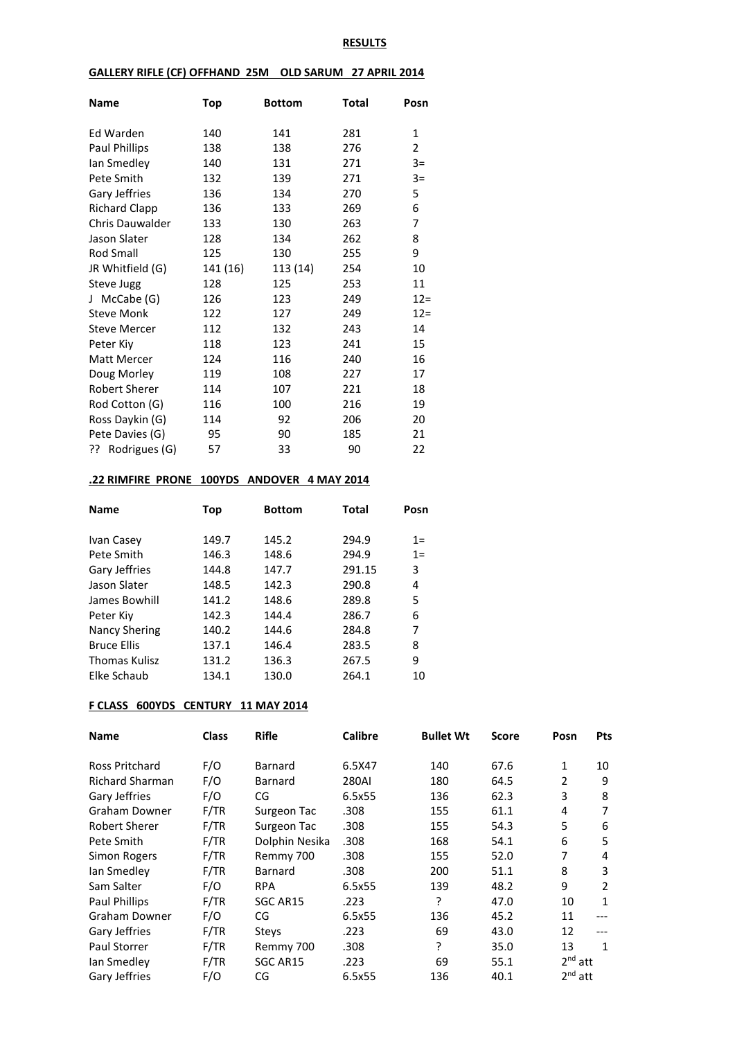### **RESULTS**

### **GALLERY RIFLE (CF) OFFHAND 25M OLD SARUM 27 APRIL 2014**

| Name                   | Top      | <b>Bottom</b> | <b>Total</b> | Posn   |
|------------------------|----------|---------------|--------------|--------|
| Ed Warden              | 140      | 141           | 281          | 1      |
| Paul Phillips          | 138      | 138           | 276          | 2      |
|                        | 140      | 131           | 271          | $3=$   |
| lan Smedley            |          |               |              |        |
| Pete Smith             | 132      | 139           | 271          | $3=$   |
| Gary Jeffries          | 136      | 134           | 270          | 5      |
| <b>Richard Clapp</b>   | 136      | 133           | 269          | 6      |
| <b>Chris Dauwalder</b> | 133      | 130           | 263          | 7      |
| Jason Slater           | 128      | 134           | 262          | 8      |
| Rod Small              | 125      | 130           | 255          | 9      |
| JR Whitfield (G)       | 141 (16) | 113 (14)      | 254          | 10     |
| <b>Steve Jugg</b>      | 128      | 125           | 253          | 11     |
| McCabe (G)<br>$\perp$  | 126      | 123           | 249          | $12=$  |
| <b>Steve Monk</b>      | 122      | 127           | 249          | $12 =$ |
| <b>Steve Mercer</b>    | 112      | 132           | 243          | 14     |
| Peter Kiy              | 118      | 123           | 241          | 15     |
| <b>Matt Mercer</b>     | 124      | 116           | 240          | 16     |
| Doug Morley            | 119      | 108           | 227          | 17     |
| Robert Sherer          | 114      | 107           | 221          | 18     |
| Rod Cotton (G)         | 116      | 100           | 216          | 19     |
| Ross Daykin (G)        | 114      | 92            | 206          | 20     |
| Pete Davies (G)        | 95       | 90            | 185          | 21     |
| Rodrigues (G)<br>ַרְכְ | 57       | 33            | 90           | 22     |

# **.22 RIMFIRE PRONE 100YDS ANDOVER 4 MAY 2014**

| <b>Name</b>          | <b>Top</b> | <b>Bottom</b> | Total  | Posn |
|----------------------|------------|---------------|--------|------|
| Ivan Casey           | 149.7      | 145.2         | 294.9  | $1=$ |
| Pete Smith           | 146.3      | 148.6         | 294.9  | $1=$ |
| Gary Jeffries        | 144.8      | 147.7         | 291.15 | 3    |
| Jason Slater         | 148.5      | 142.3         | 290.8  | 4    |
| James Bowhill        | 141.2      | 148.6         | 289.8  | 5    |
| Peter Kiy            | 142.3      | 144.4         | 286.7  | 6    |
| <b>Nancy Shering</b> | 140.2      | 144.6         | 284.8  | 7    |
| <b>Bruce Ellis</b>   | 137.1      | 146.4         | 283.5  | 8    |
| Thomas Kulisz        | 131.2      | 136.3         | 267.5  | 9    |
| Elke Schaub          | 134.1      | 130.0         | 264.1  | 10   |

# **F CLASS 600YDS CENTURY 11 MAY 2014**

| <b>Name</b>            | <b>Class</b> | <b>Rifle</b>   | <b>Calibre</b> | <b>Bullet Wt</b> | <b>Score</b> | Posn           | Pts |
|------------------------|--------------|----------------|----------------|------------------|--------------|----------------|-----|
| Ross Pritchard         | F/O          | Barnard        | 6.5X47         | 140              | 67.6         | 1              | 10  |
| <b>Richard Sharman</b> | F/O          | Barnard        | 280AI          | 180              | 64.5         | $\overline{2}$ | 9   |
| Gary Jeffries          | F/O          | CG             | 6.5x55         | 136              | 62.3         | 3              | 8   |
| Graham Downer          | F/TR         | Surgeon Tac    | .308           | 155              | 61.1         | 4              | 7   |
| Robert Sherer          | F/TR         | Surgeon Tac    | .308           | 155              | 54.3         | 5              | 6   |
| Pete Smith             | F/TR         | Dolphin Nesika | .308           | 168              | 54.1         | 6              | 5   |
| Simon Rogers           | F/TR         | Remmy 700      | .308           | 155              | 52.0         | 7              | 4   |
| Ian Smedley            | F/TR         | Barnard        | .308           | 200              | 51.1         | 8              | 3   |
| Sam Salter             | F/O          | <b>RPA</b>     | 6.5x55         | 139              | 48.2         | 9              | 2   |
| Paul Phillips          | F/TR         | SGC AR15       | .223           | ŗ                | 47.0         | 10             | 1   |
| Graham Downer          | F/O          | CG             | 6.5x55         | 136              | 45.2         | 11             | --- |
| Gary Jeffries          | F/TR         | <b>Stevs</b>   | .223           | 69               | 43.0         | 12             |     |
| <b>Paul Storrer</b>    | F/TR         | Remmy 700      | .308           | 5.               | 35.0         | 13             | 1   |
| lan Smedley            | F/TR         | SGC AR15       | .223           | 69               | 55.1         | $2^{nd}$ att   |     |
| Gary Jeffries          | F/O          | CG             | 6.5x55         | 136              | 40.1         | $2nd$ att      |     |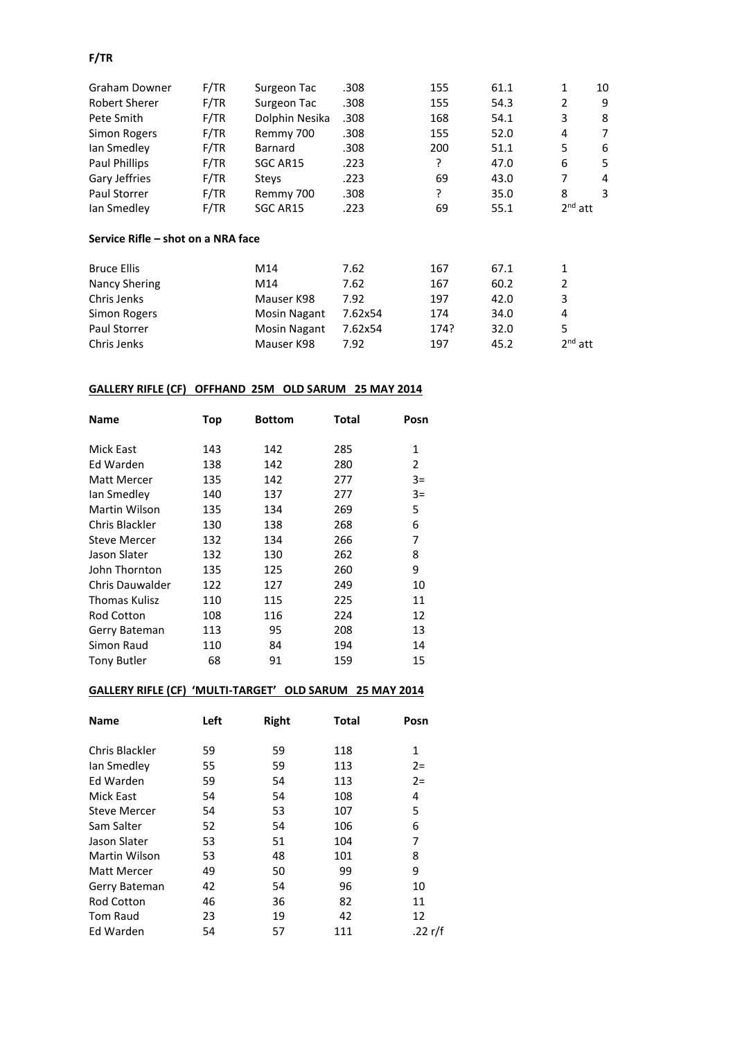# **F/TR**

| Graham Downer                      | F/TR       | Surgeon Tac                            | .308    | 155  | 61.1 | 1         | 10 |
|------------------------------------|------------|----------------------------------------|---------|------|------|-----------|----|
| <b>Robert Sherer</b>               | F/TR       | Surgeon Tac                            | .308    | 155  | 54.3 | 2         | 9  |
| Pete Smith                         | F/TR       | Dolphin Nesika                         | .308    | 168  | 54.1 | 3         | 8  |
| Simon Rogers                       | F/TR       | Remmy 700                              | .308    | 155  | 52.0 | 4         | 7  |
| lan Smedley                        | F/TR       | Barnard                                | .308    | 200  | 51.1 | 5         | 6  |
| Paul Phillips                      | F/TR       | SGC AR15                               | .223    | ?    | 47.0 | 6         | 5  |
| Gary Jeffries                      | F/TR       | <b>Stevs</b>                           | .223    | 69   | 43.0 | 7         | 4  |
| Paul Storrer                       | F/TR       | Remmy 700                              | .308    | ŗ    | 35.0 | 8         | 3  |
| lan Smedley                        | F/TR       | SGC AR15<br>.223                       |         | 69   | 55.1 | $2nd$ att |    |
| Service Rifle – shot on a NRA face |            |                                        |         |      |      |           |    |
| <b>Bruce Ellis</b>                 |            | M14                                    | 7.62    | 167  | 67.1 | 1         |    |
| Nancy Shering                      | M14        |                                        | 7.62    | 167  | 60.2 | 2         |    |
| Chris Jenks                        | Mauser K98 |                                        | 7.92    | 197  | 42.0 | 3         |    |
| Simon Rogers                       |            | 7.62x54<br>174<br>34.0<br>Mosin Nagant |         |      | 4    |           |    |
| Paul Storrer                       |            | Mosin Nagant                           | 7.62x54 | 174? | 32.0 | 5         |    |
| Chris Jenks                        |            | Mauser K98                             | 7.92    | 197  | 45.2 | $2nd$ att |    |

# **GALLERY RIFLE (CF) OFFHAND 25M OLD SARUM 25 MAY 2014**

| <b>Name</b>            | <b>Top</b> | <b>Bottom</b> | Total | Posn           |
|------------------------|------------|---------------|-------|----------------|
|                        |            |               |       |                |
| Mick East              | 143        | 142           | 285   | 1              |
| Ed Warden              | 138        | 142           | 280   | $\overline{2}$ |
| Matt Mercer            | 135        | 142           | 277   | $3=$           |
| lan Smedley            | 140        | 137           | 277   | $3=$           |
| Martin Wilson          | 135        | 134           | 269   | 5              |
| Chris Blackler         | 130        | 138           | 268   | 6              |
| <b>Steve Mercer</b>    | 132        | 134           | 266   | 7              |
| Jason Slater           | 132        | 130           | 262   | 8              |
| John Thornton          | 135        | 125           | 260   | 9              |
| <b>Chris Dauwalder</b> | 122        | 127           | 249   | 10             |
| Thomas Kulisz          | 110        | 115           | 225   | 11             |
| <b>Rod Cotton</b>      | 108        | 116           | 224   | 12             |
| Gerry Bateman          | 113        | 95            | 208   | 13             |
| Simon Raud             | 110        | 84            | 194   | 14             |
| <b>Tony Butler</b>     | 68         | 91            | 159   | 15             |

# **GALLERY RIFLE (CF) 'MULTI-TARGET' OLD SARUM 25 MAY 2014**

| <b>Name</b>         | Left | <b>Right</b> | <b>Total</b> | Posn    |
|---------------------|------|--------------|--------------|---------|
| Chris Blackler      | 59   | 59           | 118          | 1       |
| lan Smedley         | 55   | 59           | 113          | $2 =$   |
| Ed Warden           | 59   | 54           | 113          | $2=$    |
| Mick East           | 54   | 54           | 108          | 4       |
| <b>Steve Mercer</b> | 54   | 53           | 107          | 5       |
| Sam Salter          | 52   | 54           | 106          | 6       |
| Jason Slater        | 53   | 51           | 104          | 7       |
| Martin Wilson       | 53   | 48           | 101          | 8       |
| <b>Matt Mercer</b>  | 49   | 50           | 99           | 9       |
| Gerry Bateman       | 42   | 54           | 96           | 10      |
| <b>Rod Cotton</b>   | 46   | 36           | 82           | 11      |
| Tom Raud            | 23   | 19           | 42           | 12      |
| Ed Warden           | 54   | 57           | 111          | .22 r/f |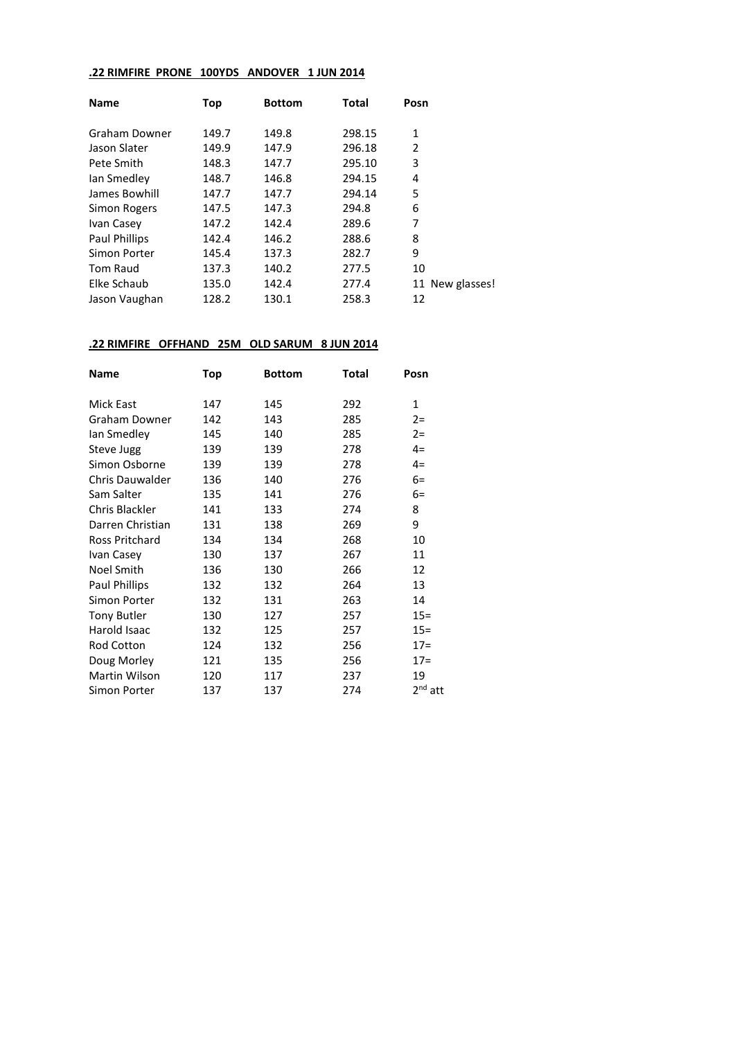# **.22 RIMFIRE PRONE 100YDS ANDOVER 1 JUN 2014**

| <b>Name</b>     | Top   | <b>Bottom</b> | Total  | Posn |                 |
|-----------------|-------|---------------|--------|------|-----------------|
| Graham Downer   | 149.7 | 149.8         | 298.15 | 1    |                 |
| Jason Slater    | 149.9 | 147.9         | 296.18 | 2    |                 |
| Pete Smith      | 148.3 | 147.7         | 295.10 | 3    |                 |
| lan Smedley     | 148.7 | 146.8         | 294.15 | 4    |                 |
| James Bowhill   | 147.7 | 147.7         | 294.14 | 5    |                 |
| Simon Rogers    | 147.5 | 147.3         | 294.8  | 6    |                 |
| Ivan Casey      | 147.2 | 142.4         | 289.6  | 7    |                 |
| Paul Phillips   | 142.4 | 146.2         | 288.6  | 8    |                 |
| Simon Porter    | 145.4 | 137.3         | 282.7  | 9    |                 |
| <b>Tom Raud</b> | 137.3 | 140.2         | 277.5  | 10   |                 |
| Elke Schaub     | 135.0 | 142.4         | 277.4  |      | 11 New glasses! |
| Jason Vaughan   | 128.2 | 130.1         | 258.3  | 12   |                 |

### **.22 RIMFIRE OFFHAND 25M OLD SARUM 8 JUN 2014**

| Name               | Top | <b>Bottom</b> | Total | Posn      |
|--------------------|-----|---------------|-------|-----------|
| <b>Mick East</b>   | 147 | 145           | 292   | 1         |
| Graham Downer      | 142 | 143           | 285   | $2 =$     |
| lan Smedley        | 145 | 140           | 285   | $2 =$     |
| Steve Jugg         | 139 | 139           | 278   | $4=$      |
| Simon Osborne      | 139 | 139           | 278   | $4=$      |
| Chris Dauwalder    | 136 | 140           | 276   | $6=$      |
| Sam Salter         | 135 | 141           | 276   | $6=$      |
| Chris Blackler     | 141 | 133           | 274   | 8         |
| Darren Christian   | 131 | 138           | 269   | 9         |
| Ross Pritchard     | 134 | 134           | 268   | 10        |
| Ivan Casey         | 130 | 137           | 267   | 11        |
| <b>Noel Smith</b>  | 136 | 130           | 266   | 12        |
| Paul Phillips      | 132 | 132           | 264   | 13        |
| Simon Porter       | 132 | 131           | 263   | 14        |
| <b>Tony Butler</b> | 130 | 127           | 257   | $15 =$    |
| Harold Isaac       | 132 | 125           | 257   | $15 =$    |
| Rod Cotton         | 124 | 132           | 256   | $17=$     |
| Doug Morley        | 121 | 135           | 256   | $17=$     |
| Martin Wilson      | 120 | 117           | 237   | 19        |
| Simon Porter       | 137 | 137           | 274   | $2nd$ att |